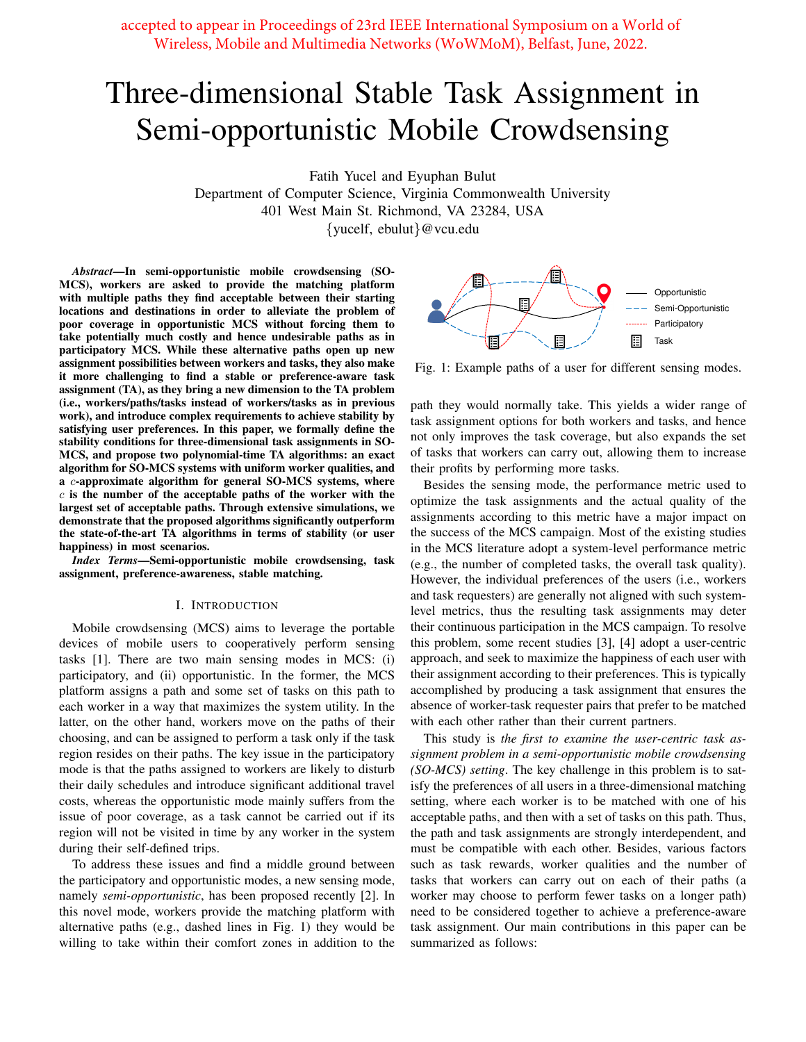accepted to appear in Proceedings of 23rd IEEE International Symposium on a World of Wireless, Mobile and Multimedia Networks (WoWMoM), Belfast, June, 2022.

# Three-dimensional Stable Task Assignment in Semi-opportunistic Mobile Crowdsensing

Fatih Yucel and Eyuphan Bulut

Department of Computer Science, Virginia Commonwealth University 401 West Main St. Richmond, VA 23284, USA

{yucelf, ebulut}@vcu.edu

*Abstract*—In semi-opportunistic mobile crowdsensing (SO-MCS), workers are asked to provide the matching platform with multiple paths they find acceptable between their starting locations and destinations in order to alleviate the problem of poor coverage in opportunistic MCS without forcing them to take potentially much costly and hence undesirable paths as in participatory MCS. While these alternative paths open up new assignment possibilities between workers and tasks, they also make it more challenging to find a stable or preference-aware task assignment (TA), as they bring a new dimension to the TA problem (i.e., workers/paths/tasks instead of workers/tasks as in previous work), and introduce complex requirements to achieve stability by satisfying user preferences. In this paper, we formally define the stability conditions for three-dimensional task assignments in SO-MCS, and propose two polynomial-time TA algorithms: an exact algorithm for SO-MCS systems with uniform worker qualities, and a c-approximate algorithm for general SO-MCS systems, where  $c$  is the number of the acceptable paths of the worker with the largest set of acceptable paths. Through extensive simulations, we demonstrate that the proposed algorithms significantly outperform the state-of-the-art TA algorithms in terms of stability (or user happiness) in most scenarios.

*Index Terms*—Semi-opportunistic mobile crowdsensing, task assignment, preference-awareness, stable matching.

## I. INTRODUCTION

Mobile crowdsensing (MCS) aims to leverage the portable devices of mobile users to cooperatively perform sensing tasks [1]. There are two main sensing modes in MCS: (i) participatory, and (ii) opportunistic. In the former, the MCS platform assigns a path and some set of tasks on this path to each worker in a way that maximizes the system utility. In the latter, on the other hand, workers move on the paths of their choosing, and can be assigned to perform a task only if the task region resides on their paths. The key issue in the participatory mode is that the paths assigned to workers are likely to disturb their daily schedules and introduce significant additional travel costs, whereas the opportunistic mode mainly suffers from the issue of poor coverage, as a task cannot be carried out if its region will not be visited in time by any worker in the system during their self-defined trips.

To address these issues and find a middle ground between the participatory and opportunistic modes, a new sensing mode, namely *semi-opportunistic*, has been proposed recently [2]. In this novel mode, workers provide the matching platform with alternative paths (e.g., dashed lines in Fig. 1) they would be willing to take within their comfort zones in addition to the



Fig. 1: Example paths of a user for different sensing modes.

path they would normally take. This yields a wider range of task assignment options for both workers and tasks, and hence not only improves the task coverage, but also expands the set of tasks that workers can carry out, allowing them to increase their profits by performing more tasks.

Besides the sensing mode, the performance metric used to optimize the task assignments and the actual quality of the assignments according to this metric have a major impact on the success of the MCS campaign. Most of the existing studies in the MCS literature adopt a system-level performance metric (e.g., the number of completed tasks, the overall task quality). However, the individual preferences of the users (i.e., workers and task requesters) are generally not aligned with such systemlevel metrics, thus the resulting task assignments may deter their continuous participation in the MCS campaign. To resolve this problem, some recent studies [3], [4] adopt a user-centric approach, and seek to maximize the happiness of each user with their assignment according to their preferences. This is typically accomplished by producing a task assignment that ensures the absence of worker-task requester pairs that prefer to be matched with each other rather than their current partners.

This study is *the first to examine the user-centric task assignment problem in a semi-opportunistic mobile crowdsensing (SO-MCS) setting*. The key challenge in this problem is to satisfy the preferences of all users in a three-dimensional matching setting, where each worker is to be matched with one of his acceptable paths, and then with a set of tasks on this path. Thus, the path and task assignments are strongly interdependent, and must be compatible with each other. Besides, various factors such as task rewards, worker qualities and the number of tasks that workers can carry out on each of their paths (a worker may choose to perform fewer tasks on a longer path) need to be considered together to achieve a preference-aware task assignment. Our main contributions in this paper can be summarized as follows: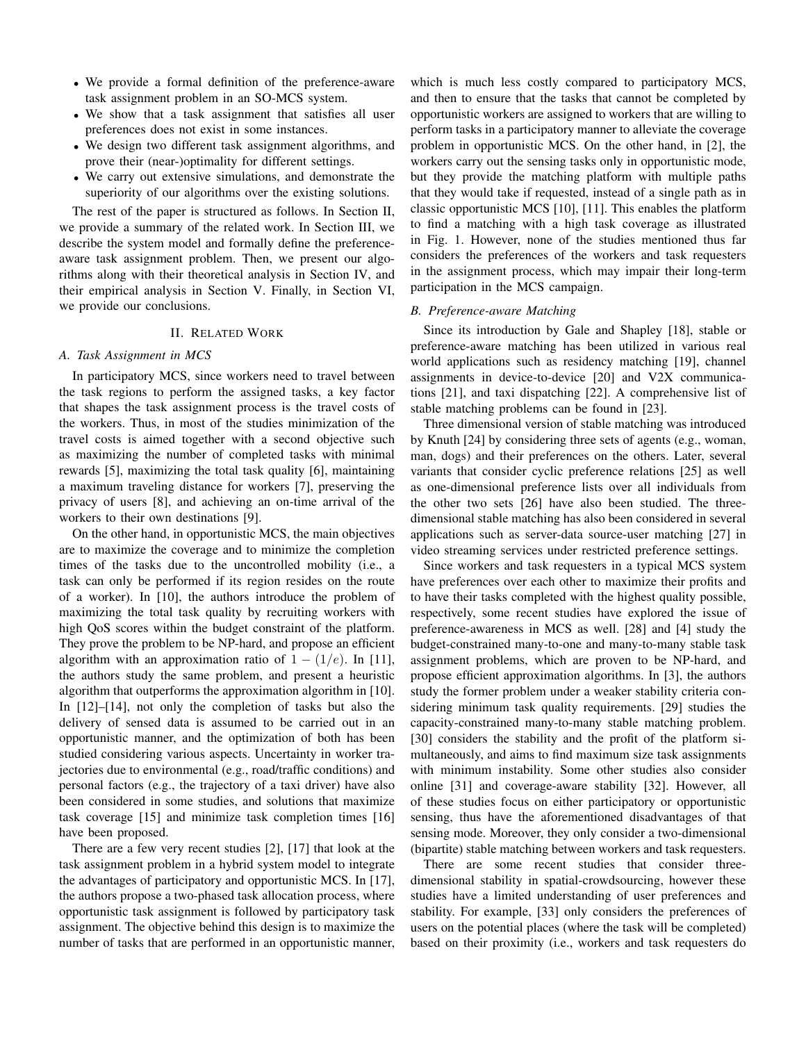- We provide a formal definition of the preference-aware task assignment problem in an SO-MCS system.
- We show that a task assignment that satisfies all user preferences does not exist in some instances.
- We design two different task assignment algorithms, and prove their (near-)optimality for different settings.
- We carry out extensive simulations, and demonstrate the superiority of our algorithms over the existing solutions.

The rest of the paper is structured as follows. In Section II, we provide a summary of the related work. In Section III, we describe the system model and formally define the preferenceaware task assignment problem. Then, we present our algorithms along with their theoretical analysis in Section IV, and their empirical analysis in Section V. Finally, in Section VI, we provide our conclusions.

## II. RELATED WORK

## *A. Task Assignment in MCS*

In participatory MCS, since workers need to travel between the task regions to perform the assigned tasks, a key factor that shapes the task assignment process is the travel costs of the workers. Thus, in most of the studies minimization of the travel costs is aimed together with a second objective such as maximizing the number of completed tasks with minimal rewards [5], maximizing the total task quality [6], maintaining a maximum traveling distance for workers [7], preserving the privacy of users [8], and achieving an on-time arrival of the workers to their own destinations [9].

On the other hand, in opportunistic MCS, the main objectives are to maximize the coverage and to minimize the completion times of the tasks due to the uncontrolled mobility (i.e., a task can only be performed if its region resides on the route of a worker). In [10], the authors introduce the problem of maximizing the total task quality by recruiting workers with high QoS scores within the budget constraint of the platform. They prove the problem to be NP-hard, and propose an efficient algorithm with an approximation ratio of  $1 - (1/e)$ . In [11], the authors study the same problem, and present a heuristic algorithm that outperforms the approximation algorithm in [10]. In [12]–[14], not only the completion of tasks but also the delivery of sensed data is assumed to be carried out in an opportunistic manner, and the optimization of both has been studied considering various aspects. Uncertainty in worker trajectories due to environmental (e.g., road/traffic conditions) and personal factors (e.g., the trajectory of a taxi driver) have also been considered in some studies, and solutions that maximize task coverage [15] and minimize task completion times [16] have been proposed.

There are a few very recent studies [2], [17] that look at the task assignment problem in a hybrid system model to integrate the advantages of participatory and opportunistic MCS. In [17], the authors propose a two-phased task allocation process, where opportunistic task assignment is followed by participatory task assignment. The objective behind this design is to maximize the number of tasks that are performed in an opportunistic manner, which is much less costly compared to participatory MCS, and then to ensure that the tasks that cannot be completed by opportunistic workers are assigned to workers that are willing to perform tasks in a participatory manner to alleviate the coverage problem in opportunistic MCS. On the other hand, in [2], the workers carry out the sensing tasks only in opportunistic mode, but they provide the matching platform with multiple paths that they would take if requested, instead of a single path as in classic opportunistic MCS [10], [11]. This enables the platform to find a matching with a high task coverage as illustrated in Fig. 1. However, none of the studies mentioned thus far considers the preferences of the workers and task requesters in the assignment process, which may impair their long-term participation in the MCS campaign.

#### *B. Preference-aware Matching*

Since its introduction by Gale and Shapley [18], stable or preference-aware matching has been utilized in various real world applications such as residency matching [19], channel assignments in device-to-device [20] and V2X communications [21], and taxi dispatching [22]. A comprehensive list of stable matching problems can be found in [23].

Three dimensional version of stable matching was introduced by Knuth [24] by considering three sets of agents (e.g., woman, man, dogs) and their preferences on the others. Later, several variants that consider cyclic preference relations [25] as well as one-dimensional preference lists over all individuals from the other two sets [26] have also been studied. The threedimensional stable matching has also been considered in several applications such as server-data source-user matching [27] in video streaming services under restricted preference settings.

Since workers and task requesters in a typical MCS system have preferences over each other to maximize their profits and to have their tasks completed with the highest quality possible, respectively, some recent studies have explored the issue of preference-awareness in MCS as well. [28] and [4] study the budget-constrained many-to-one and many-to-many stable task assignment problems, which are proven to be NP-hard, and propose efficient approximation algorithms. In [3], the authors study the former problem under a weaker stability criteria considering minimum task quality requirements. [29] studies the capacity-constrained many-to-many stable matching problem. [30] considers the stability and the profit of the platform simultaneously, and aims to find maximum size task assignments with minimum instability. Some other studies also consider online [31] and coverage-aware stability [32]. However, all of these studies focus on either participatory or opportunistic sensing, thus have the aforementioned disadvantages of that sensing mode. Moreover, they only consider a two-dimensional (bipartite) stable matching between workers and task requesters.

There are some recent studies that consider threedimensional stability in spatial-crowdsourcing, however these studies have a limited understanding of user preferences and stability. For example, [33] only considers the preferences of users on the potential places (where the task will be completed) based on their proximity (i.e., workers and task requesters do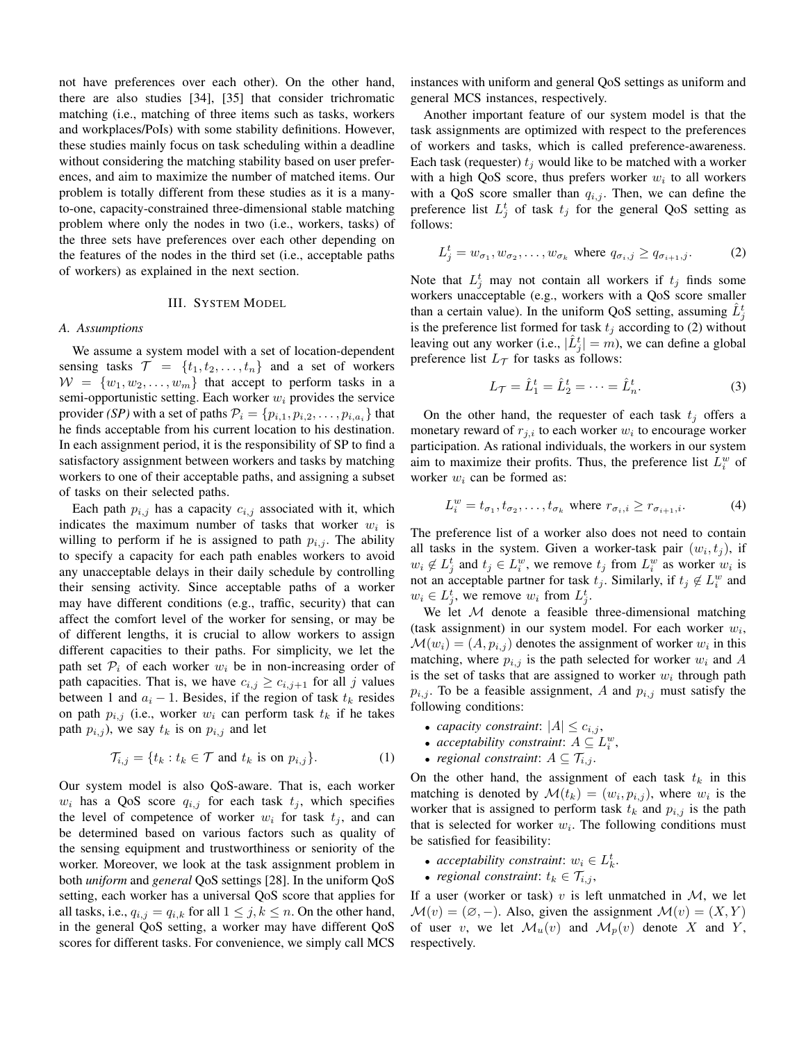not have preferences over each other). On the other hand, there are also studies [34], [35] that consider trichromatic matching (i.e., matching of three items such as tasks, workers and workplaces/PoIs) with some stability definitions. However, these studies mainly focus on task scheduling within a deadline without considering the matching stability based on user preferences, and aim to maximize the number of matched items. Our problem is totally different from these studies as it is a manyto-one, capacity-constrained three-dimensional stable matching problem where only the nodes in two (i.e., workers, tasks) of the three sets have preferences over each other depending on the features of the nodes in the third set (i.e., acceptable paths of workers) as explained in the next section.

## III. SYSTEM MODEL

#### *A. Assumptions*

We assume a system model with a set of location-dependent sensing tasks  $\mathcal{T} = \{t_1, t_2, \ldots, t_n\}$  and a set of workers  $W = \{w_1, w_2, \ldots, w_m\}$  that accept to perform tasks in a semi-opportunistic setting. Each worker  $w_i$  provides the service provider *(SP)* with a set of paths  $\mathcal{P}_i = \{p_{i,1}, p_{i,2}, \ldots, p_{i,a_i}\}$  that he finds acceptable from his current location to his destination. In each assignment period, it is the responsibility of SP to find a satisfactory assignment between workers and tasks by matching workers to one of their acceptable paths, and assigning a subset of tasks on their selected paths.

Each path  $p_{i,j}$  has a capacity  $c_{i,j}$  associated with it, which indicates the maximum number of tasks that worker  $w_i$  is willing to perform if he is assigned to path  $p_{i,j}$ . The ability to specify a capacity for each path enables workers to avoid any unacceptable delays in their daily schedule by controlling their sensing activity. Since acceptable paths of a worker may have different conditions (e.g., traffic, security) that can affect the comfort level of the worker for sensing, or may be of different lengths, it is crucial to allow workers to assign different capacities to their paths. For simplicity, we let the path set  $P_i$  of each worker  $w_i$  be in non-increasing order of path capacities. That is, we have  $c_{i,j} \geq c_{i,j+1}$  for all j values between 1 and  $a_i - 1$ . Besides, if the region of task  $t_k$  resides on path  $p_{i,j}$  (i.e., worker  $w_i$  can perform task  $t_k$  if he takes path  $p_{i,j}$ ), we say  $t_k$  is on  $p_{i,j}$  and let

$$
\mathcal{T}_{i,j} = \{ t_k : t_k \in \mathcal{T} \text{ and } t_k \text{ is on } p_{i,j} \}. \tag{1}
$$

Our system model is also QoS-aware. That is, each worker  $w_i$  has a QoS score  $q_{i,j}$  for each task  $t_j$ , which specifies the level of competence of worker  $w_i$  for task  $t_i$ , and can be determined based on various factors such as quality of the sensing equipment and trustworthiness or seniority of the worker. Moreover, we look at the task assignment problem in both *uniform* and *general* QoS settings [28]. In the uniform QoS setting, each worker has a universal QoS score that applies for all tasks, i.e.,  $q_{i,j} = q_{i,k}$  for all  $1 \leq j, k \leq n$ . On the other hand, in the general QoS setting, a worker may have different QoS scores for different tasks. For convenience, we simply call MCS instances with uniform and general QoS settings as uniform and general MCS instances, respectively.

Another important feature of our system model is that the task assignments are optimized with respect to the preferences of workers and tasks, which is called preference-awareness. Each task (requester)  $t_i$  would like to be matched with a worker with a high QoS score, thus prefers worker  $w_i$  to all workers with a QoS score smaller than  $q_{i,j}$ . Then, we can define the preference list  $L_j^t$  of task  $t_j$  for the general QoS setting as follows:

$$
L_j^t = w_{\sigma_1}, w_{\sigma_2}, \dots, w_{\sigma_k} \text{ where } q_{\sigma_i, j} \ge q_{\sigma_{i+1}, j}.
$$
 (2)

Note that  $L_j^t$  may not contain all workers if  $t_j$  finds some workers unacceptable (e.g., workers with a QoS score smaller than a certain value). In the uniform QoS setting, assuming  $\hat{L}_j^t$ is the preference list formed for task  $t_j$  according to (2) without leaving out any worker (i.e.,  $|\hat{L}_j^t| = m$ ), we can define a global preference list  $L_{\mathcal{T}}$  for tasks as follows:

$$
L_{\mathcal{T}} = \hat{L}_1^t = \hat{L}_2^t = \dots = \hat{L}_n^t.
$$
 (3)

On the other hand, the requester of each task  $t_j$  offers a monetary reward of  $r_{j,i}$  to each worker  $w_i$  to encourage worker participation. As rational individuals, the workers in our system aim to maximize their profits. Thus, the preference list  $L_i^w$  of worker  $w_i$  can be formed as:

$$
L_i^w = t_{\sigma_1}, t_{\sigma_2}, \dots, t_{\sigma_k} \text{ where } r_{\sigma_i, i} \ge r_{\sigma_{i+1}, i}. \tag{4}
$$

The preference list of a worker also does not need to contain all tasks in the system. Given a worker-task pair  $(w_i, t_j)$ , if  $w_i \notin L_j^t$  and  $t_j \in L_i^w$ , we remove  $t_j$  from  $L_i^w$  as worker  $w_i$  is not an acceptable partner for task  $t_j$ . Similarly, if  $t_j \notin L_i^w$  and  $w_i \in L_j^t$ , we remove  $w_i$  from  $L_j^t$ .

We let  $M$  denote a feasible three-dimensional matching (task assignment) in our system model. For each worker  $w_i$ ,  $\mathcal{M}(w_i) = (A, p_{i,j})$  denotes the assignment of worker  $w_i$  in this matching, where  $p_{i,j}$  is the path selected for worker  $w_i$  and A is the set of tasks that are assigned to worker  $w_i$  through path  $p_{i,j}$ . To be a feasible assignment, A and  $p_{i,j}$  must satisfy the following conditions:

- *capacity constraint*:  $|A| \leq c_{i,j}$ ,
- *acceptability constraint:*  $A \subseteq L_i^w$ ,
- *regional constraint*:  $A \subseteq \mathcal{T}_{i,j}$ .

On the other hand, the assignment of each task  $t_k$  in this matching is denoted by  $\mathcal{M}(t_k) = (w_i, p_{i,j})$ , where  $w_i$  is the worker that is assigned to perform task  $t_k$  and  $p_{i,j}$  is the path that is selected for worker  $w_i$ . The following conditions must be satisfied for feasibility:

- *acceptability constraint*:  $w_i \in L_k^t$ .
- *regional constraint*:  $t_k \in \mathcal{T}_{i,j}$ ,

If a user (worker or task)  $v$  is left unmatched in  $M$ , we let  $\mathcal{M}(v) = (\emptyset, -)$ . Also, given the assignment  $\mathcal{M}(v) = (X, Y)$ of user v, we let  $\mathcal{M}_u(v)$  and  $\mathcal{M}_p(v)$  denote X and Y, respectively.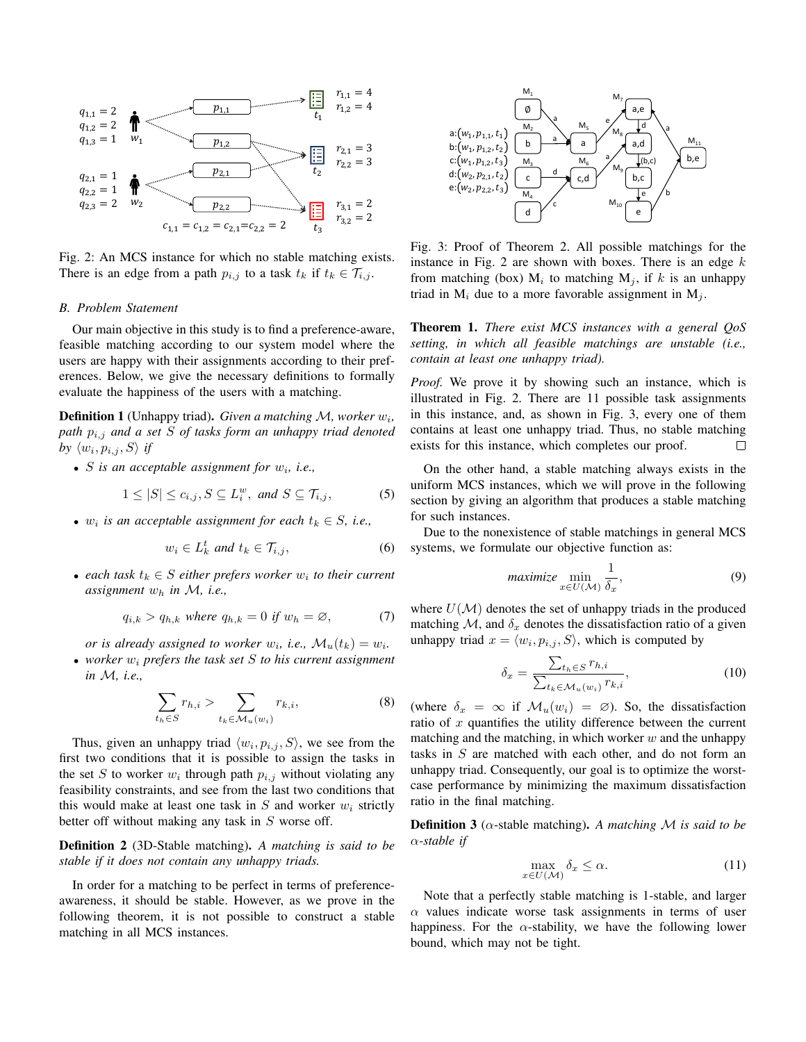

There is an edge from a path  $p_{i,j}$  to a task  $t_k$  if  $t_k \in \mathcal{T}_{i,j}$ . Fig. 2: An MCS instance for which no stable matching exists.

#### $n, n$ 1, 1,2, <sup>3</sup> *B. Problem Statement*

Our main objective in this study is to find a preference-aware, Feasible matching according to our system model where the users are happy with their assignments according to their preferences. Below, we give the necessary definitions to formally evaluate the happiness of the users with a matching.

Definition 1 (Unhappy triad). *Given a matching M, worker*  $w_i$ , *path*  $p_{i,j}$  *and a set S of tasks form an unhappy triad denoted by*  $\langle w_i, p_{i,j}, S \rangle$  *if* 

• *S* is an acceptable assignment for  $w_i$ , i.e.,

$$
1 \leq |S| \leq c_{i,j}, S \subseteq L_i^w, \text{ and } S \subseteq \mathcal{T}_{i,j}, \tag{5}
$$

•  $w_i$  *is an acceptable assignment for each*  $t_k \in S$ *, i.e.,* 

$$
w_i \in L_k^t \text{ and } t_k \in \mathcal{T}_{i,j},\tag{6}
$$

• *each task*  $t_k \in S$  *either prefers worker*  $w_i$  *to their current assignment* w<sup>h</sup> *in* M*, i.e.,*

$$
q_{i,k} > q_{h,k} \text{ where } q_{h,k} = 0 \text{ if } w_h = \varnothing, \tag{7}
$$

*or is already assigned to worker*  $w_i$ , *i.e.*,  $\mathcal{M}_u(t_k) = w_i$ .

• *worker* w<sup>i</sup> *prefers the task set* S *to his current assignment in* M*, i.e.,*

$$
\sum_{t_h \in S} r_{h,i} > \sum_{t_k \in \mathcal{M}_u(w_i)} r_{k,i},\tag{8}
$$

Thus, given an unhappy triad  $\langle w_i, p_{i,j}, S \rangle$ , we see from the first two conditions that it is possible to assign the tasks in the set S to worker  $w_i$  through path  $p_{i,j}$  without violating any feasibility constraints, and see from the last two conditions that this would make at least one task in  $S$  and worker  $w_i$  strictly better off without making any task in  $S$  worse off.

Definition 2 (3D-Stable matching). *A matching is said to be stable if it does not contain any unhappy triads.*

In order for a matching to be perfect in terms of preferenceawareness, it should be stable. However, as we prove in the following theorem, it is not possible to construct a stable matching in all MCS instances.



Fig. 3: Proof of Theorem 2. All possible matchings for the instance in Fig. 2 are shown with boxes. There is an edge  $k$ from matching (box)  $M_i$  to matching  $M_j$ , if k is an unhappy triad in  $M_i$  due to a more favorable assignment in  $M_i$ .

Theorem 1. *There exist MCS instances with a general QoS setting, in which all feasible matchings are unstable (i.e., contain at least one unhappy triad).*

*Proof.* We prove it by showing such an instance, which is illustrated in Fig. 2. There are 11 possible task assignments in this instance, and, as shown in Fig. 3, every one of them contains at least one unhappy triad. Thus, no stable matching exists for this instance, which completes our proof. П

On the other hand, a stable matching always exists in the uniform MCS instances, which we will prove in the following section by giving an algorithm that produces a stable matching for such instances.

Due to the nonexistence of stable matchings in general MCS systems, we formulate our objective function as:

$$
maximize \min_{x \in U(\mathcal{M})} \frac{1}{\delta_x},\tag{9}
$$

where  $U(\mathcal{M})$  denotes the set of unhappy triads in the produced matching M, and  $\delta_x$  denotes the dissatisfaction ratio of a given unhappy triad  $x = \langle w_i, p_{i,j}, S \rangle$ , which is computed by

$$
\delta_x = \frac{\sum_{t_h \in S} r_{h,i}}{\sum_{t_k \in \mathcal{M}_u(w_i)} r_{k,i}},\tag{10}
$$

(where  $\delta_x = \infty$  if  $\mathcal{M}_u(w_i) = \emptyset$ ). So, the dissatisfaction ratio of  $x$  quantifies the utility difference between the current matching and the matching, in which worker  $w$  and the unhappy tasks in S are matched with each other, and do not form an unhappy triad. Consequently, our goal is to optimize the worstcase performance by minimizing the maximum dissatisfaction ratio in the final matching.

Definition 3 (α-stable matching). *A matching* M *is said to be* α*-stable if*

$$
\max_{x \in U(\mathcal{M})} \delta_x \le \alpha. \tag{11}
$$

Note that a perfectly stable matching is 1-stable, and larger  $\alpha$  values indicate worse task assignments in terms of user happiness. For the  $\alpha$ -stability, we have the following lower bound, which may not be tight.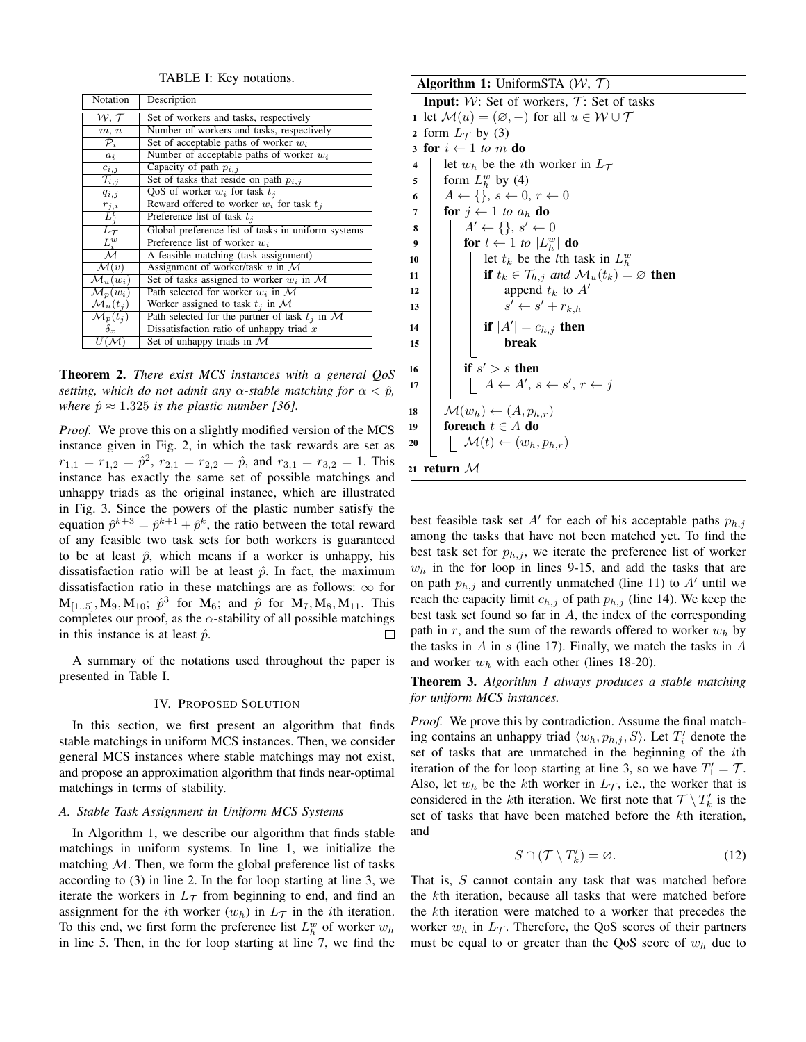TABLE I: Key notations.

| Notation                                                               | Description                                        |
|------------------------------------------------------------------------|----------------------------------------------------|
| $\mathcal{W},\, \mathcal{T}$                                           | Set of workers and tasks, respectively             |
| m, n                                                                   | Number of workers and tasks, respectively          |
| $\mathcal{P}_i$                                                        | Set of acceptable paths of worker $w_i$            |
| $a_i$                                                                  | Number of acceptable paths of worker $w_i$         |
| $c_{i,j}$                                                              | Capacity of path $p_{i,j}$                         |
| $\overline{\mathcal{T}_{i,j}}$                                         | Set of tasks that reside on path $p_{i,j}$         |
| $q_{i,j}$                                                              | QoS of worker $w_i$ for task $t_i$                 |
|                                                                        | Reward offered to worker $w_i$ for task $t_i$      |
| $\frac{r_{j,i}}{L_f^t}$<br>$\frac{L_{\mathcal{T}}}{L_{\mathcal{U}}^w}$ | Preference list of task $t_i$                      |
|                                                                        | Global preference list of tasks in uniform systems |
|                                                                        | Preference list of worker $w_i$                    |
|                                                                        | A feasible matching (task assignment)              |
| $\mathcal{M}(v)$                                                       | Assignment of worker/task $v$ in $\mathcal M$      |
| $\mathcal{M}_u(w_i)$                                                   | Set of tasks assigned to worker $w_i$ in M         |
| $\mathcal{M}_p(w_i)$                                                   | Path selected for worker $w_i$ in M                |
| $\mathcal{M}_u(t_i)$                                                   | Worker assigned to task $t_i$ in M                 |
| $\mathcal{M}_p(t_i)$                                                   | Path selected for the partner of task $t_i$ in M   |
| $\delta_x$                                                             | Dissatisfaction ratio of unhappy triad $x$         |
| $U(\mathcal{M})$                                                       | Set of unhappy triads in $\mathcal M$              |

Theorem 2. *There exist MCS instances with a general QoS setting, which do not admit any*  $\alpha$ -stable matching for  $\alpha < \hat{p}$ , *where*  $\hat{p} \approx 1.325$  *is the plastic number* [36].

*Proof.* We prove this on a slightly modified version of the MCS instance given in Fig. 2, in which the task rewards are set as  $r_{1,1} = r_{1,2} = \hat{p}^2$ ,  $r_{2,1} = r_{2,2} = \hat{p}$ , and  $r_{3,1} = r_{3,2} = 1$ . This instance has exactly the same set of possible matchings and unhappy triads as the original instance, which are illustrated in Fig. 3. Since the powers of the plastic number satisfy the equation  $\hat{p}^{k+3} = \hat{p}^{k+1} + \hat{p}^k$ , the ratio between the total reward of any feasible two task sets for both workers is guaranteed to be at least  $\hat{p}$ , which means if a worker is unhappy, his dissatisfaction ratio will be at least  $\hat{p}$ . In fact, the maximum dissatisfaction ratio in these matchings are as follows:  $\infty$  for  $M_{[1..5]}, M_9, M_{10}; \hat{p}^3$  for  $M_6$ ; and  $\hat{p}$  for  $M_7, M_8, M_{11}$ . This completes our proof, as the  $\alpha$ -stability of all possible matchings in this instance is at least  $\hat{p}$ .  $\Box$ 

A summary of the notations used throughout the paper is presented in Table I.

## IV. PROPOSED SOLUTION

In this section, we first present an algorithm that finds stable matchings in uniform MCS instances. Then, we consider general MCS instances where stable matchings may not exist, and propose an approximation algorithm that finds near-optimal matchings in terms of stability.

#### *A. Stable Task Assignment in Uniform MCS Systems*

In Algorithm 1, we describe our algorithm that finds stable matchings in uniform systems. In line 1, we initialize the matching  $M$ . Then, we form the global preference list of tasks according to (3) in line 2. In the for loop starting at line 3, we iterate the workers in  $L_{\mathcal{T}}$  from beginning to end, and find an assignment for the *i*th worker  $(w_h)$  in  $L_{\mathcal{T}}$  in the *i*th iteration. To this end, we first form the preference list  $L_h^w$  of worker  $w_h$ in line 5. Then, in the for loop starting at line 7, we find the

Algorithm 1: UniformSTA  $(W, \mathcal{T})$ **Input:**  $W$ : Set of workers,  $T$ : Set of tasks 1 let  $\mathcal{M}(u) = (\emptyset, -)$  for all  $u \in \mathcal{W} \cup \mathcal{T}$ 2 form  $L_{\mathcal{T}}$  by (3) 3 for  $i \leftarrow 1$  *to m* do 4 let  $w_h$  be the *i*th worker in  $L_{\mathcal{T}}$ 5 form  $L_h^w$  by (4) 6  $A \leftarrow \{\}, s \leftarrow 0, r \leftarrow 0$ 7 **for**  $j \leftarrow 1$  *to*  $a_h$  **do**  $\begin{array}{c|c} \mathbf{s} & | & | & A' \leftarrow \{\}, \, s' \leftarrow 0 \end{array}$ 9 **for**  $l \leftarrow 1$  *to*  $|L_h^w|$  **do** 10 | | let  $t_k$  be the *l*th task in  $L_h^w$ 11 **if**  $t_k \in \mathcal{T}_{h,j}$  *and*  $\mathcal{M}_u(t_k) = \emptyset$  **then** 12 | | | append  $t_k$  to  $A'$ 13  $\vert \vert$   $\vert$   $s' \leftarrow s' + r_{k,h}$ 14 **if**  $|A'| = c_{h,j}$  then 15 break 16 if  $s' > s$  then 17  $\begin{array}{|c|c|c|c|c|}\n\hline\n11 & A \leftarrow A', s \leftarrow s', r \leftarrow j\n\end{array}$ 18  $\mathcal{M}(w_h) \leftarrow (A, p_{h,r})$ 19 foreach  $t \in A$  do 20  $\vert$   $\mathcal{M}(t) \leftarrow (w_h, p_{h,r})$ <sup>21</sup> return M

best feasible task set  $A'$  for each of his acceptable paths  $p_{h,j}$ among the tasks that have not been matched yet. To find the best task set for  $p_{h,j}$ , we iterate the preference list of worker  $w<sub>h</sub>$  in the for loop in lines 9-15, and add the tasks that are on path  $p_{h,j}$  and currently unmatched (line 11) to A' until we reach the capacity limit  $c_{h,j}$  of path  $p_{h,j}$  (line 14). We keep the best task set found so far in A, the index of the corresponding path in r, and the sum of the rewards offered to worker  $w_h$  by the tasks in  $A$  in  $s$  (line 17). Finally, we match the tasks in  $A$ and worker  $w_h$  with each other (lines 18-20).

Theorem 3. *Algorithm 1 always produces a stable matching for uniform MCS instances.*

*Proof.* We prove this by contradiction. Assume the final matching contains an unhappy triad  $\langle w_h, p_{h,j}, S \rangle$ . Let  $T'_i$  denote the set of tasks that are unmatched in the beginning of the ith iteration of the for loop starting at line 3, so we have  $T_1' = \mathcal{T}$ . Also, let  $w_h$  be the kth worker in  $L_{\mathcal{T}}$ , i.e., the worker that is considered in the *k*th iteration. We first note that  $\mathcal{T} \setminus T'_{k}$  is the set of tasks that have been matched before the kth iteration, and

$$
S \cap (\mathcal{T} \setminus T'_k) = \varnothing. \tag{12}
$$

That is, S cannot contain any task that was matched before the kth iteration, because all tasks that were matched before the kth iteration were matched to a worker that precedes the worker  $w_h$  in  $L_{\mathcal{T}}$ . Therefore, the QoS scores of their partners must be equal to or greater than the QoS score of  $w<sub>h</sub>$  due to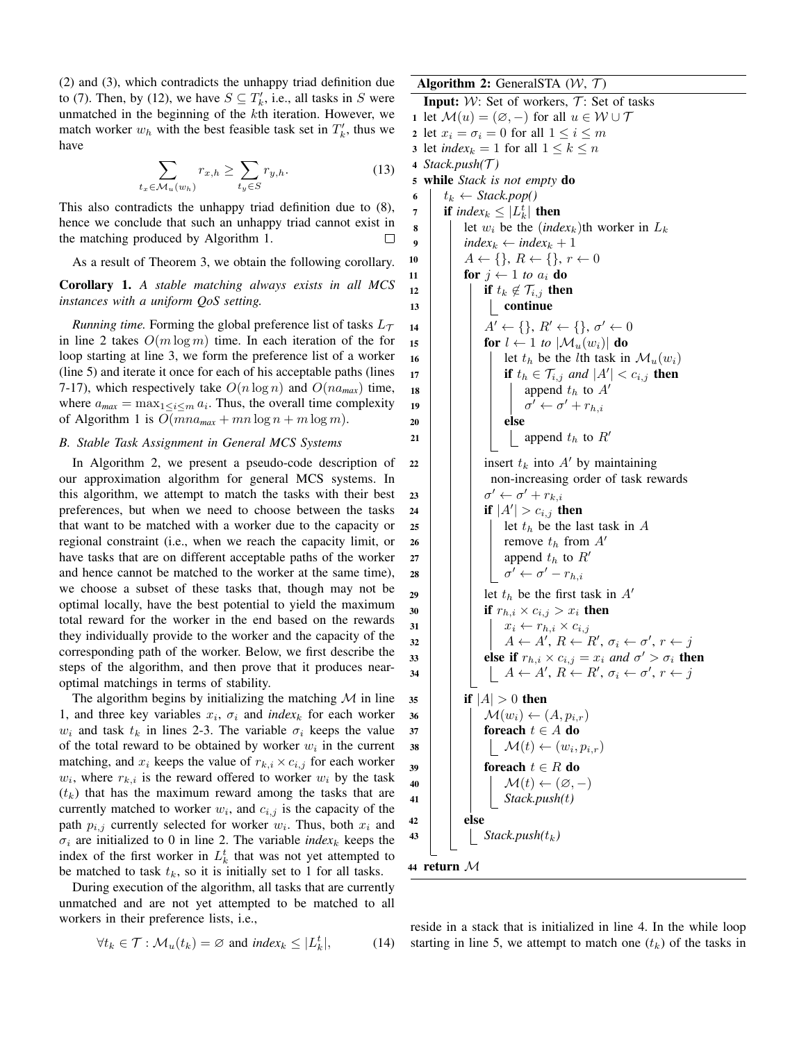(2) and (3), which contradicts the unhappy triad definition due to (7). Then, by (12), we have  $S \subseteq T'_{k}$ , i.e., all tasks in S were unmatched in the beginning of the kth iteration. However, we match worker  $w_h$  with the best feasible task set in  $T'_k$ , thus we have

$$
\sum_{t_x \in \mathcal{M}_u(w_h)} r_{x,h} \ge \sum_{t_y \in S} r_{y,h}.\tag{13}
$$

This also contradicts the unhappy triad definition due to (8), hence we conclude that such an unhappy triad cannot exist in the matching produced by Algorithm 1.

As a result of Theorem 3, we obtain the following corollary.

Corollary 1. *A stable matching always exists in all MCS instances with a uniform QoS setting.*

*Running time.* Forming the global preference list of tasks  $L_{\tau}$ in line 2 takes  $O(m \log m)$  time. In each iteration of the for loop starting at line 3, we form the preference list of a worker (line 5) and iterate it once for each of his acceptable paths (lines 7-17), which respectively take  $O(n \log n)$  and  $O(na_{max})$  time, where  $a_{max} = \max_{1 \leq i \leq m} a_i$ . Thus, the overall time complexity of Algorithm 1 is  $O(mna_{max} + mn \log n + m \log m)$ .

## *B. Stable Task Assignment in General MCS Systems*

In Algorithm 2, we present a pseudo-code description of our approximation algorithm for general MCS systems. In this algorithm, we attempt to match the tasks with their best preferences, but when we need to choose between the tasks that want to be matched with a worker due to the capacity or regional constraint (i.e., when we reach the capacity limit, or have tasks that are on different acceptable paths of the worker and hence cannot be matched to the worker at the same time), we choose a subset of these tasks that, though may not be optimal locally, have the best potential to yield the maximum total reward for the worker in the end based on the rewards they individually provide to the worker and the capacity of the corresponding path of the worker. Below, we first describe the steps of the algorithm, and then prove that it produces nearoptimal matchings in terms of stability.

The algorithm begins by initializing the matching  $M$  in line 1, and three key variables  $x_i$ ,  $\sigma_i$  and *index<sub>k</sub>* for each worker  $w_i$  and task  $t_k$  in lines 2-3. The variable  $\sigma_i$  keeps the value of the total reward to be obtained by worker  $w_i$  in the current matching, and  $x_i$  keeps the value of  $r_{k,i} \times c_{i,j}$  for each worker  $w_i$ , where  $r_{k,i}$  is the reward offered to worker  $w_i$  by the task  $(t_k)$  that has the maximum reward among the tasks that are currently matched to worker  $w_i$ , and  $c_{i,j}$  is the capacity of the path  $p_{i,j}$  currently selected for worker  $w_i$ . Thus, both  $x_i$  and  $\sigma_i$  are initialized to 0 in line 2. The variable *index<sub>k</sub>* keeps the index of the first worker in  $L_k^t$  that was not yet attempted to be matched to task  $t_k$ , so it is initially set to 1 for all tasks.

During execution of the algorithm, all tasks that are currently unmatched and are not yet attempted to be matched to all workers in their preference lists, i.e.,

$$
\forall t_k \in \mathcal{T} : \mathcal{M}_u(t_k) = \varnothing \text{ and } index_k \le |L_k^t|, \tag{14}
$$

Algorithm 2: GeneralSTA  $(W, \mathcal{T})$ **Input:**  $W$ : Set of workers,  $T$ : Set of tasks 1 let  $\mathcal{M}(u) = (\emptyset, -)$  for all  $u \in \mathcal{W} \cup \mathcal{T}$ 2 let  $x_i = \sigma_i = 0$  for all  $1 \leq i \leq m$ 3 let *index*<sub>k</sub> = 1 for all  $1 \leq k \leq n$ <sup>4</sup> *Stack.push(*T *)* <sup>5</sup> while *Stack is not empty* do 6  $t_k \leftarrow Stack.pop()$ 7 **if**  $index_k \leq |L_k^t|$  **then**  $\mathbf{8}$  | let  $w_i$  be the (*index*<sub>k</sub>)th worker in  $L_k$ 9 *index*<sub>k</sub>  $\leftarrow$  *index*<sub>k</sub> + 1 10  $A \leftarrow \{\}, R \leftarrow \{\}, r \leftarrow 0$ 11 **for**  $j \leftarrow 1$  *to*  $a_i$  **do** 12 if  $t_k \notin \mathcal{T}_{i,j}$  then  $13$  | | | continue 14  $\vert \vert \vert \vert A' \leftarrow \{ \}, R' \leftarrow \{ \}, \sigma' \leftarrow 0$ 15 **for**  $l \leftarrow 1$  *to*  $|\mathcal{M}_u(w_i)|$  **do** 16 | | | let  $t_h$  be the *l*th task in  $\mathcal{M}_u(w_i)$ 17 **if**  $t_h \in \mathcal{T}_{i,j}$  *and*  $|A'| < c_{i,j}$  **then** 18 | | | | append  $t_h$  to  $A'$ 19 | | | |  $\sigma$  $\prime \leftarrow \sigma' + r_{h,i}$  $20$  else 21 | | | | append  $t_h$  to  $R'$ 22 | | insert  $t_k$  into A' by maintaining non-increasing order of task rewards 23  $\sigma' \leftarrow \sigma' + r_{k,i}$ 24 **if**  $|A'| > c_{i,j}$  then 25 | | | | let  $t_h$  be the last task in A 26 | | | | remove  $t_h$  from  $A'$  $27$  | | | append  $t_h$  to  $R'$ 28  $\begin{array}{|c|c|c|c|}\hline \rule{0pt}{1ex}\quad & \sigma' \leftarrow \sigma' - r_{h,i} \ \hline \end{array}$ 29 | | let  $t_h$  be the first task in  $A'$ 30 **if**  $r_{h,i} \times c_{i,j} > x_i$  then <sup>31</sup> x<sup>i</sup> ← rh,i × ci,j  $\begin{array}{|c|c|c|c|c|}\n\hline\n32 & & A \leftarrow A',\, R\leftarrow R',\, \sigma_i \leftarrow \sigma',\, r \leftarrow j\n\end{array}$ **33**  $\Box$  **else if**  $r_{h,i} \times c_{i,j} = x_i$  *and*  $\sigma' > \sigma_i$  **then**  $\begin{array}{|c|c|c|c|c|}\n\hline\n34 & A & A',\, R &\leftarrow & R',\, \sigma_i &\leftarrow & \sigma',\, r &\leftarrow & j\n\end{array}$ 35 **if**  $|A| > 0$  **then** 36  $\vert$   $\vert$   $\mathcal{M}(w_i) \leftarrow (A, p_{i,r})$  $37$  | | foreach  $t \in A$  do 38  $\vert$   $\vert$   $\vert$   $\mathcal{M}(t) \leftarrow (w_i, p_{i,r})$  $39$  foreach  $t \in R$  do 40  $\vert \vert \vert \mathcal{M}(t) \leftarrow (\varnothing, -)$ <sup>41</sup> *Stack.push(*t*)*  $42$  else  $\mathcal{A}$ 3 | | | Stack.push( $t_k$ ) <sup>44</sup> return M

reside in a stack that is initialized in line 4. In the while loop starting in line 5, we attempt to match one  $(t_k)$  of the tasks in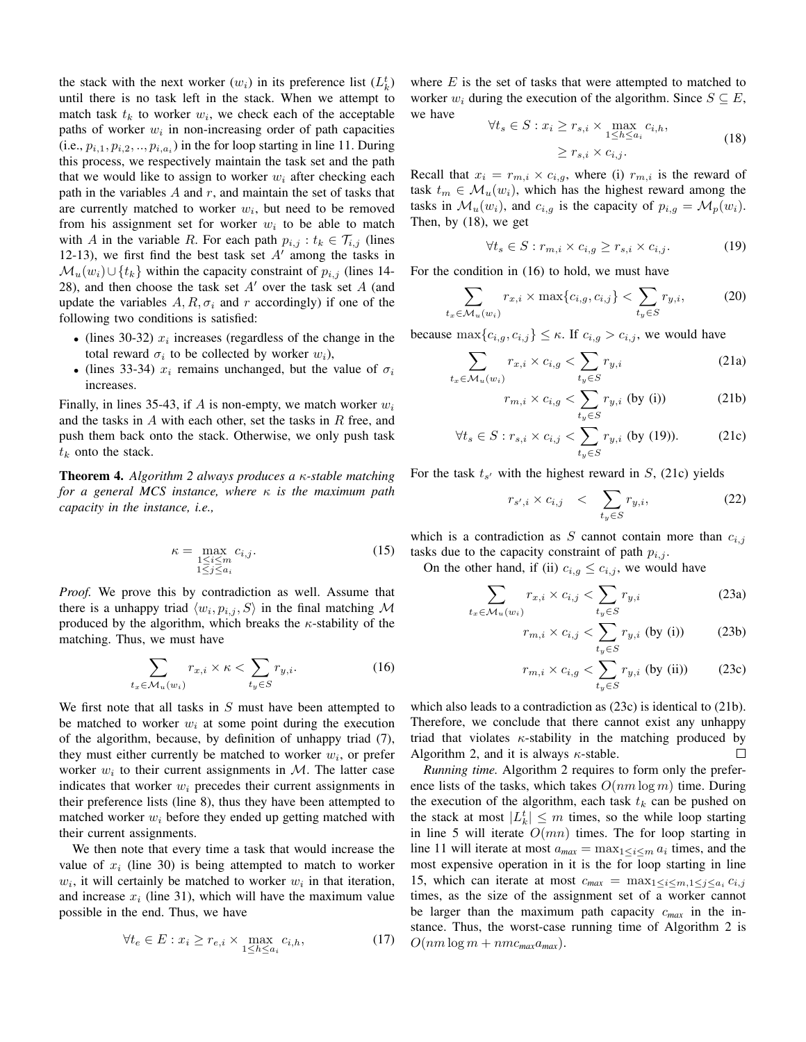the stack with the next worker  $(w_i)$  in its preference list  $(L_k^t)$ until there is no task left in the stack. When we attempt to match task  $t_k$  to worker  $w_i$ , we check each of the acceptable paths of worker  $w_i$  in non-increasing order of path capacities (i.e.,  $p_{i,1}, p_{i,2}, \ldots, p_{i,a_i}$ ) in the for loop starting in line 11. During this process, we respectively maintain the task set and the path that we would like to assign to worker  $w_i$  after checking each path in the variables  $A$  and  $r$ , and maintain the set of tasks that are currently matched to worker  $w_i$ , but need to be removed from his assignment set for worker  $w_i$  to be able to match with A in the variable R. For each path  $p_{i,j} : t_k \in \mathcal{T}_{i,j}$  (lines 12-13), we first find the best task set  $A'$  among the tasks in  $\mathcal{M}_u(w_i) \cup \{t_k\}$  within the capacity constraint of  $p_{i,j}$  (lines 14-28), and then choose the task set  $A'$  over the task set  $A$  (and update the variables  $A, R, \sigma_i$  and r accordingly) if one of the following two conditions is satisfied:

- (lines 30-32)  $x_i$  increases (regardless of the change in the total reward  $\sigma_i$  to be collected by worker  $w_i$ ),
- (lines 33-34)  $x_i$  remains unchanged, but the value of  $\sigma_i$ increases.

Finally, in lines 35-43, if A is non-empty, we match worker  $w_i$ and the tasks in  $A$  with each other, set the tasks in  $R$  free, and push them back onto the stack. Otherwise, we only push task  $t_k$  onto the stack.

Theorem 4. *Algorithm 2 always produces a* κ*-stable matching for a general MCS instance, where* κ *is the maximum path capacity in the instance, i.e.,*

$$
\kappa = \max_{\substack{1 \le i \le m \\ 1 \le j \le a_i}} c_{i,j}.\tag{15}
$$

*Proof.* We prove this by contradiction as well. Assume that there is a unhappy triad  $\langle w_i, p_{i,j}, S \rangle$  in the final matching M produced by the algorithm, which breaks the  $\kappa$ -stability of the matching. Thus, we must have

$$
\sum_{t_x \in \mathcal{M}_u(w_i)} r_{x,i} \times \kappa < \sum_{t_y \in S} r_{y,i}.\tag{16}
$$

We first note that all tasks in  $S$  must have been attempted to be matched to worker  $w_i$  at some point during the execution of the algorithm, because, by definition of unhappy triad (7), they must either currently be matched to worker  $w_i$ , or prefer worker  $w_i$  to their current assignments in M. The latter case indicates that worker  $w_i$  precedes their current assignments in their preference lists (line 8), thus they have been attempted to matched worker  $w_i$  before they ended up getting matched with their current assignments.

We then note that every time a task that would increase the value of  $x_i$  (line 30) is being attempted to match to worker  $w_i$ , it will certainly be matched to worker  $w_i$  in that iteration, and increase  $x_i$  (line 31), which will have the maximum value possible in the end. Thus, we have

$$
\forall t_e \in E: x_i \ge r_{e,i} \times \max_{1 \le h \le a_i} c_{i,h},\tag{17}
$$

where  $E$  is the set of tasks that were attempted to matched to worker  $w_i$  during the execution of the algorithm. Since  $S \subseteq E$ , we have

$$
\forall t_s \in S : x_i \ge r_{s,i} \times \max_{1 \le h \le a_i} c_{i,h},
$$
  

$$
\ge r_{s,i} \times c_{i,j}.
$$
 (18)

Recall that  $x_i = r_{m,i} \times c_{i,q}$ , where (i)  $r_{m,i}$  is the reward of task  $t_m \in \mathcal{M}_u(w_i)$ , which has the highest reward among the tasks in  $\mathcal{M}_u(w_i)$ , and  $c_{i,q}$  is the capacity of  $p_{i,q} = \mathcal{M}_p(w_i)$ . Then, by (18), we get

$$
\forall t_s \in S : r_{m,i} \times c_{i,g} \ge r_{s,i} \times c_{i,j}.
$$
 (19)

For the condition in (16) to hold, we must have

$$
\sum_{t_x \in \mathcal{M}_u(w_i)} r_{x,i} \times \max\{c_{i,g}, c_{i,j}\} < \sum_{t_y \in S} r_{y,i},\tag{20}
$$

because  $\max\{c_{i,q}, c_{i,j}\} \leq \kappa$ . If  $c_{i,q} > c_{i,j}$ , we would have

$$
\sum_{t_x \in \mathcal{M}_u(w_i)} r_{x,i} \times c_{i,g} < \sum_{t_y \in S} r_{y,i} \tag{21a}
$$

$$
r_{m,i} \times c_{i,g} < \sum_{t_y \in S} r_{y,i} \text{ (by (i))} \tag{21b}
$$

$$
\forall t_s \in S : r_{s,i} \times c_{i,j} < \sum_{t_y \in S} r_{y,i} \text{ (by (19))}. \tag{21c}
$$

For the task  $t_{s'}$  with the highest reward in  $S$ , (21c) yields

$$
r_{s',i} \times c_{i,j} \quad < \quad \sum_{t_y \in S} r_{y,i}, \tag{22}
$$

which is a contradiction as S cannot contain more than  $c_{i,j}$ tasks due to the capacity constraint of path  $p_{i,j}$ .

On the other hand, if (ii)  $c_{i,g} \leq c_{i,j}$ , we would have

 $t_{x}$ 

$$
\sum_{\substack{\in \mathcal{M}_u(w_i)}} r_{x,i} \times c_{i,j} < \sum_{t_y \in S} r_{y,i} \tag{23a}
$$

$$
r_{m,i} \times c_{i,j} < \sum_{t_y \in S} r_{y,i} \text{ (by (i))} \tag{23b}
$$

$$
r_{m,i} \times c_{i,g} < \sum_{t_y \in S} r_{y,i} \text{ (by (ii))} \tag{23c}
$$

which also leads to a contradiction as (23c) is identical to (21b). Therefore, we conclude that there cannot exist any unhappy triad that violates  $\kappa$ -stability in the matching produced by Algorithm 2, and it is always  $\kappa$ -stable.  $\Box$ 

*Running time.* Algorithm 2 requires to form only the preference lists of the tasks, which takes  $O(nm \log m)$  time. During the execution of the algorithm, each task  $t_k$  can be pushed on the stack at most  $|L_k^t| \leq m$  times, so the while loop starting in line 5 will iterate  $O(mn)$  times. The for loop starting in line 11 will iterate at most  $a_{max} = \max_{1 \leq i \leq m} a_i$  times, and the most expensive operation in it is the for loop starting in line 15, which can iterate at most  $c_{max} = \max_{1 \le i \le m, 1 \le j \le a_i} c_{i,j}$ times, as the size of the assignment set of a worker cannot be larger than the maximum path capacity c*max* in the instance. Thus, the worst-case running time of Algorithm 2 is  $O(nm \log m + nmc_{\text{max}}a_{\text{max}}).$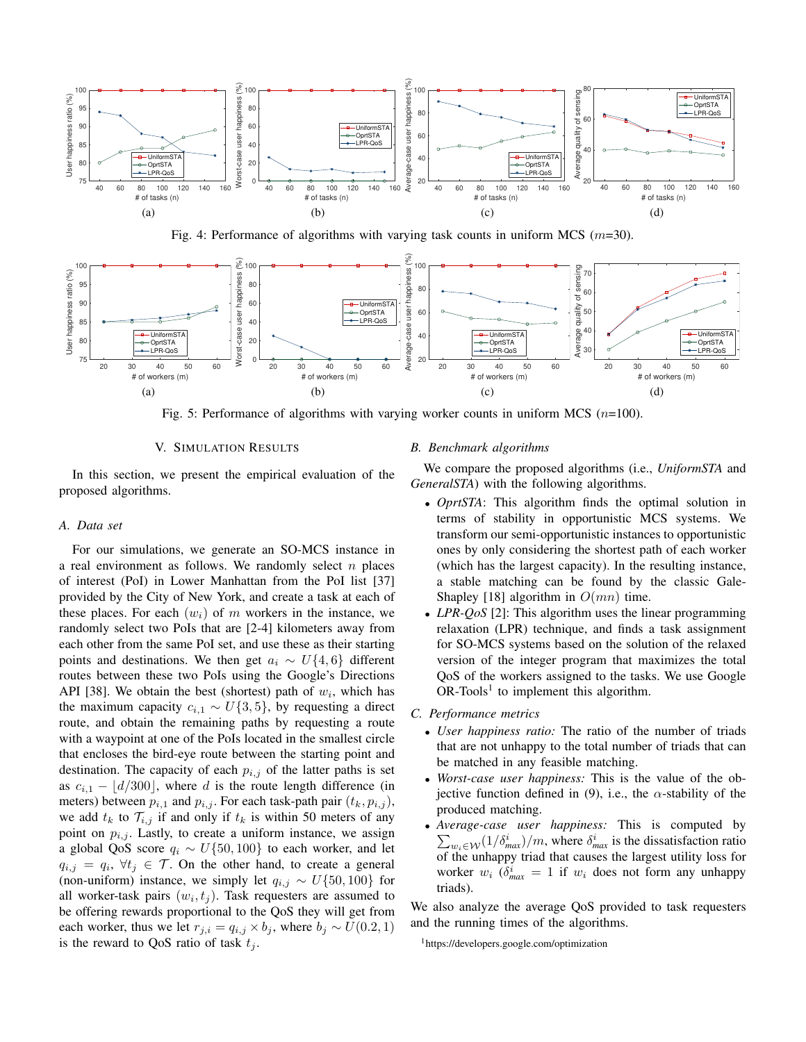

Fig. 4: Performance of algorithms with varying task counts in uniform MCS ( $m=30$ ).



Fig. 5: Performance of algorithms with varying worker counts in uniform MCS  $(n=100)$ .

## V. SIMULATION RESULTS

In this section, we present the empirical evaluation of the proposed algorithms.

## *A. Data set*

For our simulations, we generate an SO-MCS instance in a real environment as follows. We randomly select  $n$  places of interest (PoI) in Lower Manhattan from the PoI list [37] provided by the City of New York, and create a task at each of these places. For each  $(w_i)$  of m workers in the instance, we randomly select two PoIs that are [2-4] kilometers away from each other from the same PoI set, and use these as their starting points and destinations. We then get  $a_i \sim U\{4, 6\}$  different routes between these two PoIs using the Google's Directions API [38]. We obtain the best (shortest) path of  $w_i$ , which has the maximum capacity  $c_{i,1} \sim U\{3, 5\}$ , by requesting a direct route, and obtain the remaining paths by requesting a route with a waypoint at one of the PoIs located in the smallest circle that encloses the bird-eye route between the starting point and destination. The capacity of each  $p_{i,j}$  of the latter paths is set as  $c_{i,1} - \lfloor d/300 \rfloor$ , where d is the route length difference (in meters) between  $p_{i,1}$  and  $p_{i,j}$ . For each task-path pair  $(t_k, p_{i,j})$ , we add  $t_k$  to  $\mathcal{T}_{i,j}$  if and only if  $t_k$  is within 50 meters of any point on  $p_{i,j}$ . Lastly, to create a uniform instance, we assign a global QoS score  $q_i \sim U\{50, 100\}$  to each worker, and let  $q_{i,j} = q_i, \forall t_j \in \mathcal{T}$ . On the other hand, to create a general (non-uniform) instance, we simply let  $q_{i,j} \sim U\{50, 100\}$  for all worker-task pairs  $(w_i, t_j)$ . Task requesters are assumed to be offering rewards proportional to the QoS they will get from each worker, thus we let  $r_{j,i} = q_{i,j} \times b_j$ , where  $b_j \sim U(0.2, 1)$ is the reward to QoS ratio of task  $t_i$ .

## *B. Benchmark algorithms*

We compare the proposed algorithms (i.e., *UniformSTA* and *GeneralSTA*) with the following algorithms.

- *OprtSTA*: This algorithm finds the optimal solution in terms of stability in opportunistic MCS systems. We transform our semi-opportunistic instances to opportunistic ones by only considering the shortest path of each worker (which has the largest capacity). In the resulting instance, a stable matching can be found by the classic Gale-Shapley [18] algorithm in  $O(mn)$  time.
- *LPR-QoS* [2]: This algorithm uses the linear programming relaxation (LPR) technique, and finds a task assignment for SO-MCS systems based on the solution of the relaxed version of the integer program that maximizes the total QoS of the workers assigned to the tasks. We use Google  $OR-Tools<sup>1</sup>$  to implement this algorithm.
- *C. Performance metrics*
	- *User happiness ratio:* The ratio of the number of triads that are not unhappy to the total number of triads that can be matched in any feasible matching.
	- *Worst-case user happiness:* This is the value of the objective function defined in (9), i.e., the  $\alpha$ -stability of the produced matching.
	- *Average-case user happiness:* This is computed by  $\sum_{w_i \in \mathcal{W}} (1/\delta_{max}^i)/m$ , where  $\delta_{max}^i$  is the dissatisfaction ratio of the unhappy triad that causes the largest utility loss for worker  $w_i$  ( $\delta_{max}^i = 1$  if  $w_i$  does not form any unhappy triads).

We also analyze the average QoS provided to task requesters and the running times of the algorithms.

<sup>1</sup>https://developers.google.com/optimization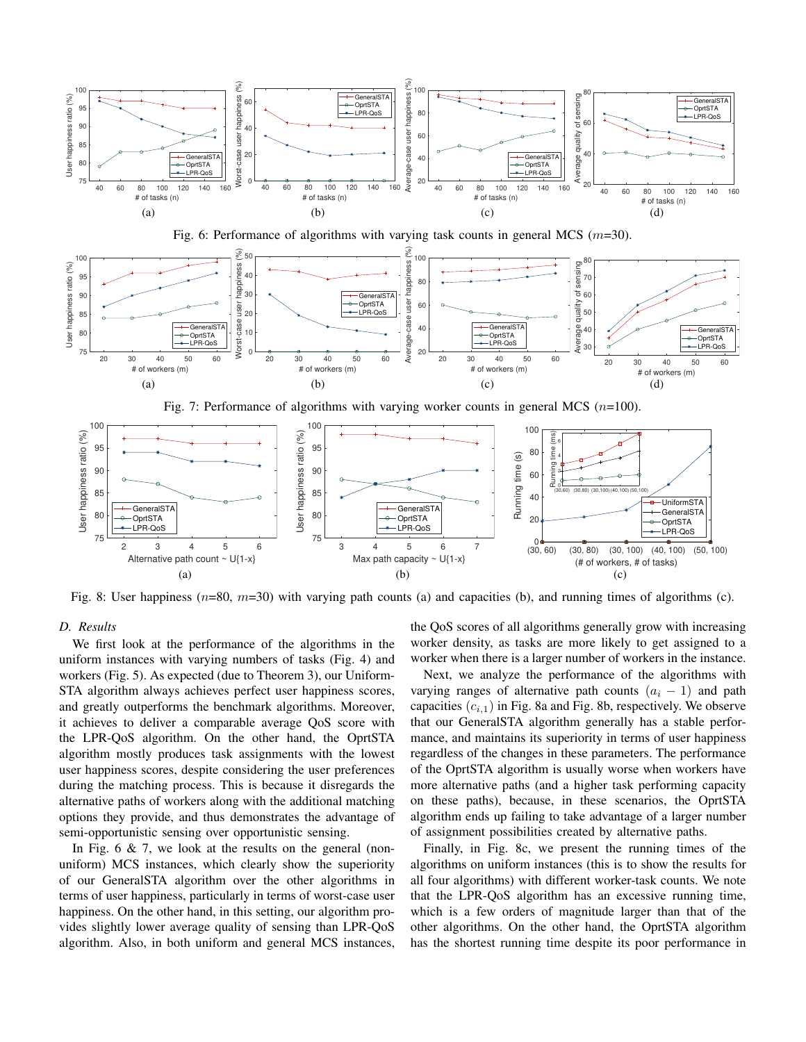

Fig. 8: User happiness  $(n=80, m=30)$  with varying path counts (a) and capacities (b), and running times of algorithms (c).

## *D. Results*

We first look at the performance of the algorithms in the uniform instances with varying numbers of tasks (Fig. 4) and workers (Fig. 5). As expected (due to Theorem 3), our Uniform-STA algorithm always achieves perfect user happiness scores, and greatly outperforms the benchmark algorithms. Moreover, it achieves to deliver a comparable average QoS score with the LPR-QoS algorithm. On the other hand, the OprtSTA algorithm mostly produces task assignments with the lowest user happiness scores, despite considering the user preferences during the matching process. This is because it disregards the alternative paths of workers along with the additional matching options they provide, and thus demonstrates the advantage of semi-opportunistic sensing over opportunistic sensing.

In Fig.  $6 \& 7$ , we look at the results on the general (nonuniform) MCS instances, which clearly show the superiority of our GeneralSTA algorithm over the other algorithms in terms of user happiness, particularly in terms of worst-case user happiness. On the other hand, in this setting, our algorithm provides slightly lower average quality of sensing than LPR-QoS algorithm. Also, in both uniform and general MCS instances, the QoS scores of all algorithms generally grow with increasing worker density, as tasks are more likely to get assigned to a worker when there is a larger number of workers in the instance.

Next, we analyze the performance of the algorithms with varying ranges of alternative path counts  $(a_i - 1)$  and path capacities  $(c_{i,1})$  in Fig. 8a and Fig. 8b, respectively. We observe that our GeneralSTA algorithm generally has a stable performance, and maintains its superiority in terms of user happiness regardless of the changes in these parameters. The performance of the OprtSTA algorithm is usually worse when workers have more alternative paths (and a higher task performing capacity on these paths), because, in these scenarios, the OprtSTA algorithm ends up failing to take advantage of a larger number of assignment possibilities created by alternative paths.

Finally, in Fig. 8c, we present the running times of the algorithms on uniform instances (this is to show the results for all four algorithms) with different worker-task counts. We note that the LPR-QoS algorithm has an excessive running time, which is a few orders of magnitude larger than that of the other algorithms. On the other hand, the OprtSTA algorithm has the shortest running time despite its poor performance in